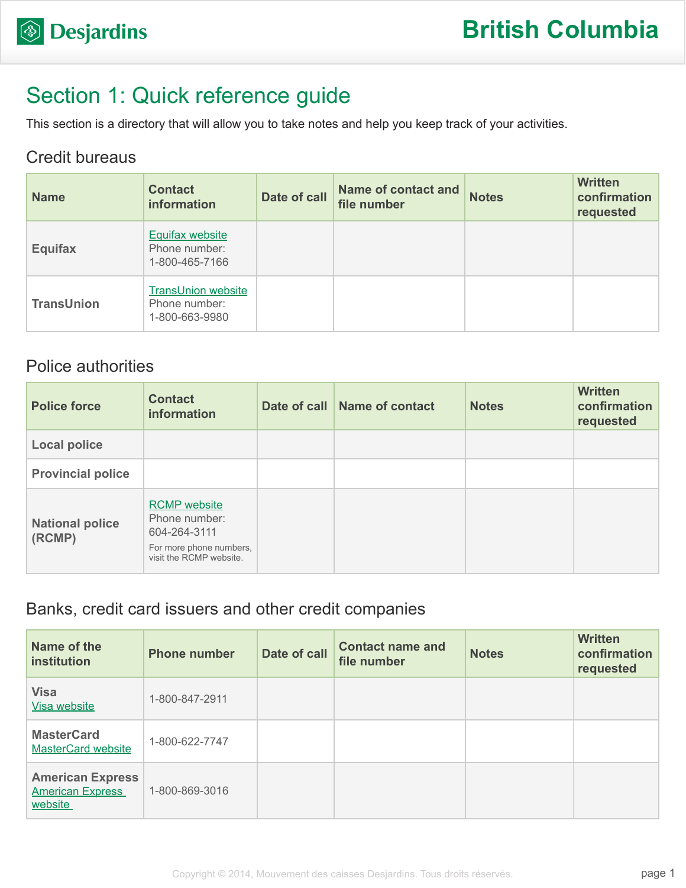

# Section 1: Quick reference guide

This section is a directory that will allow you to take notes and help you keep track of your activities.

#### Credit bureaus

| <b>Name</b>       | <b>Contact</b><br>information                                | Date of call | <b>Name of contact and</b><br>file number | <b>Notes</b> | <b>Written</b><br>confirmation<br>requested |
|-------------------|--------------------------------------------------------------|--------------|-------------------------------------------|--------------|---------------------------------------------|
| <b>Equifax</b>    | <b>Equifax website</b><br>Phone number:<br>1-800-465-7166    |              |                                           |              |                                             |
| <b>TransUnion</b> | <b>TransUnion website</b><br>Phone number:<br>1-800-663-9980 |              |                                           |              |                                             |

#### Police authorities

| <b>Police force</b>              | <b>Contact</b><br><b>information</b>                                                                       | Date of call Name of contact | <b>Notes</b> | <b>Written</b><br>confirmation<br>requested |
|----------------------------------|------------------------------------------------------------------------------------------------------------|------------------------------|--------------|---------------------------------------------|
| <b>Local police</b>              |                                                                                                            |                              |              |                                             |
| <b>Provincial police</b>         |                                                                                                            |                              |              |                                             |
| <b>National police</b><br>(RCMP) | <b>RCMP</b> website<br>Phone number:<br>604-264-3111<br>For more phone numbers,<br>visit the RCMP website. |                              |              |                                             |

#### Banks, credit card issuers and other credit companies

| Name of the<br>institution                                    | <b>Phone number</b> | Date of call | <b>Contact name and</b><br>file number | <b>Notes</b> | <b>Written</b><br>confirmation<br>requested |
|---------------------------------------------------------------|---------------------|--------------|----------------------------------------|--------------|---------------------------------------------|
| <b>Visa</b><br>Visa website                                   | 1-800-847-2911      |              |                                        |              |                                             |
| <b>MasterCard</b><br><b>MasterCard website</b>                | 1-800-622-7747      |              |                                        |              |                                             |
| <b>American Express</b><br><b>American Express</b><br>website | 1-800-869-3016      |              |                                        |              |                                             |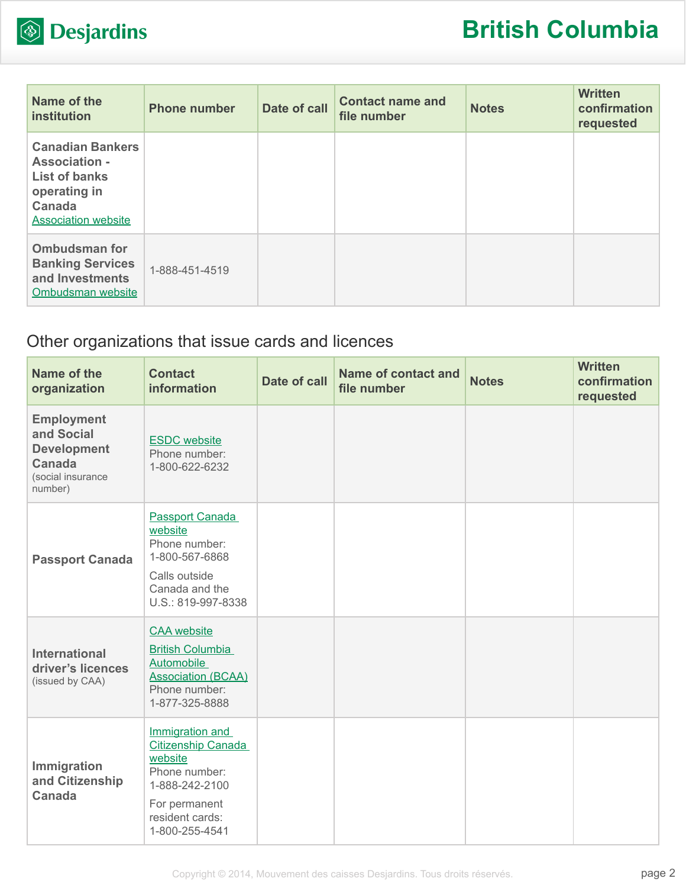

| Name of the<br><b>institution</b>                                                                                                      | <b>Phone number</b> | Date of call | <b>Contact name and</b><br>file number | <b>Notes</b> | <b>Written</b><br>confirmation<br>requested |
|----------------------------------------------------------------------------------------------------------------------------------------|---------------------|--------------|----------------------------------------|--------------|---------------------------------------------|
| <b>Canadian Bankers</b><br><b>Association -</b><br><b>List of banks</b><br>operating in<br><b>Canada</b><br><b>Association website</b> |                     |              |                                        |              |                                             |
| <b>Ombudsman for</b><br><b>Banking Services</b><br>and Investments<br>Ombudsman website                                                | 1-888-451-4519      |              |                                        |              |                                             |

## Other organizations that issue cards and licences

| Name of the<br>organization                                                                            | <b>Contact</b><br>information                                                                                                                    | <b>Date of call</b> | <b>Name of contact and</b><br>file number | <b>Notes</b> | <b>Written</b><br>confirmation<br>requested |
|--------------------------------------------------------------------------------------------------------|--------------------------------------------------------------------------------------------------------------------------------------------------|---------------------|-------------------------------------------|--------------|---------------------------------------------|
| <b>Employment</b><br>and Social<br><b>Development</b><br><b>Canada</b><br>(social insurance<br>number) | <b>ESDC</b> website<br>Phone number:<br>1-800-622-6232                                                                                           |                     |                                           |              |                                             |
| <b>Passport Canada</b>                                                                                 | <b>Passport Canada</b><br>website<br>Phone number:<br>1-800-567-6868<br>Calls outside<br>Canada and the<br>U.S.: 819-997-8338                    |                     |                                           |              |                                             |
| <b>International</b><br>driver's licences<br>(issued by CAA)                                           | <b>CAA</b> website<br><b>British Columbia</b><br><b>Automobile</b><br><b>Association (BCAA)</b><br>Phone number:<br>1-877-325-8888               |                     |                                           |              |                                             |
| Immigration<br>and Citizenship<br><b>Canada</b>                                                        | Immigration and<br><b>Citizenship Canada</b><br>website<br>Phone number:<br>1-888-242-2100<br>For permanent<br>resident cards:<br>1-800-255-4541 |                     |                                           |              |                                             |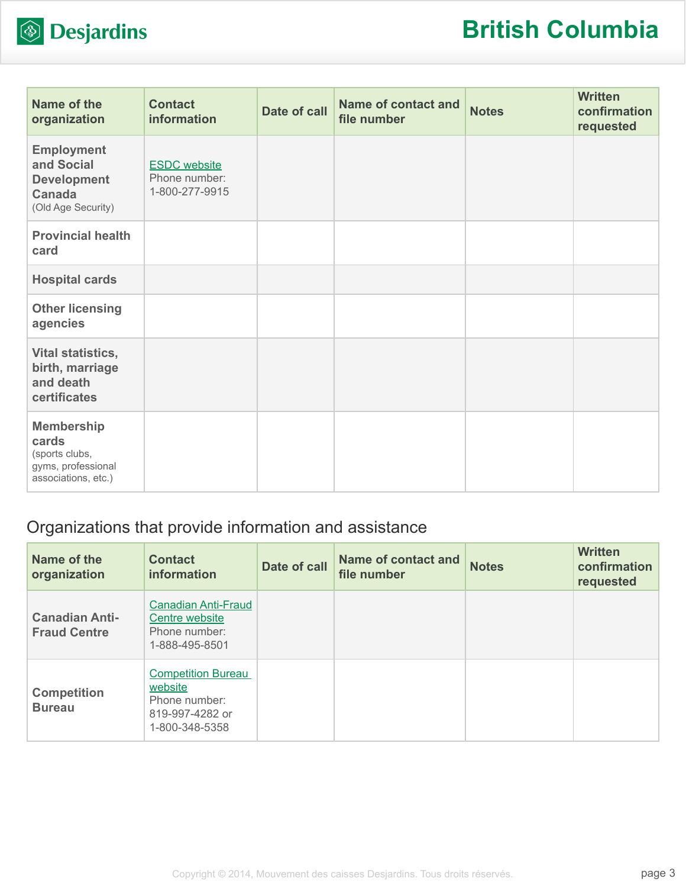

| Name of the<br>organization                                                               | <b>Contact</b><br>information                          | Date of call | <b>Name of contact and</b><br>file number | <b>Notes</b> | <b>Written</b><br>confirmation<br>requested |
|-------------------------------------------------------------------------------------------|--------------------------------------------------------|--------------|-------------------------------------------|--------------|---------------------------------------------|
| <b>Employment</b><br>and Social<br><b>Development</b><br>Canada<br>(Old Age Security)     | <b>ESDC</b> website<br>Phone number:<br>1-800-277-9915 |              |                                           |              |                                             |
| <b>Provincial health</b><br>card                                                          |                                                        |              |                                           |              |                                             |
| <b>Hospital cards</b>                                                                     |                                                        |              |                                           |              |                                             |
| <b>Other licensing</b><br>agencies                                                        |                                                        |              |                                           |              |                                             |
| Vital statistics,<br>birth, marriage<br>and death<br>certificates                         |                                                        |              |                                           |              |                                             |
| <b>Membership</b><br>cards<br>(sports clubs,<br>gyms, professional<br>associations, etc.) |                                                        |              |                                           |              |                                             |

### Organizations that provide information and assistance

| Name of the<br>organization                  | <b>Contact</b><br>information                                                              | Date of call | <b>Name of contact and</b><br>file number | <b>Notes</b> | <b>Written</b><br>confirmation<br>requested |
|----------------------------------------------|--------------------------------------------------------------------------------------------|--------------|-------------------------------------------|--------------|---------------------------------------------|
| <b>Canadian Anti-</b><br><b>Fraud Centre</b> | <b>Canadian Anti-Fraud</b><br>Centre website<br>Phone number:<br>1-888-495-8501            |              |                                           |              |                                             |
| <b>Competition</b><br><b>Bureau</b>          | <b>Competition Bureau</b><br>website<br>Phone number:<br>819-997-4282 or<br>1-800-348-5358 |              |                                           |              |                                             |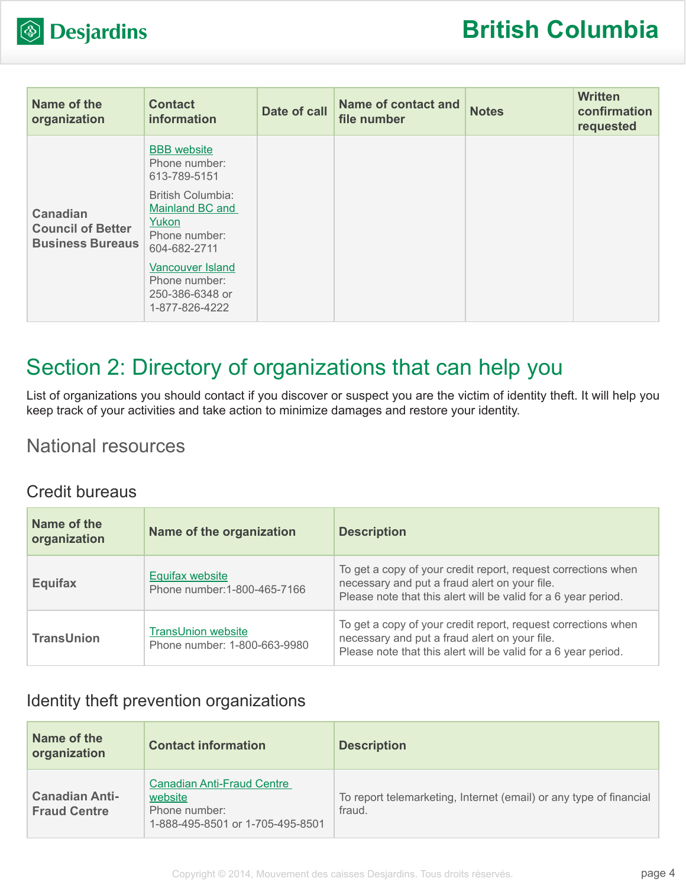

| Name of the<br>organization                                            | <b>Contact</b><br>information                                                         | Date of call | Name of contact and<br>file number | <b>Notes</b> | <b>Written</b><br>confirmation<br>requested |
|------------------------------------------------------------------------|---------------------------------------------------------------------------------------|--------------|------------------------------------|--------------|---------------------------------------------|
| <b>Canadian</b><br><b>Council of Better</b><br><b>Business Bureaus</b> | <b>BBB</b> website<br>Phone number:<br>613-789-5151                                   |              |                                    |              |                                             |
|                                                                        | <b>British Columbia:</b><br>Mainland BC and<br>Yukon<br>Phone number:<br>604-682-2711 |              |                                    |              |                                             |
|                                                                        | Vancouver Island<br>Phone number:<br>250-386-6348 or<br>1-877-826-4222                |              |                                    |              |                                             |

## Section 2: Directory of organizations that can help you

List of organizations you should contact if you discover or suspect you are the victim of identity theft. It will help you keep track of your activities and take action to minimize damages and restore your identity.

### National resources

#### Credit bureaus

| Name of the<br>organization | Name of the organization                                  | <b>Description</b>                                                                                                                                                               |
|-----------------------------|-----------------------------------------------------------|----------------------------------------------------------------------------------------------------------------------------------------------------------------------------------|
| <b>Equifax</b>              | Equifax website<br>Phone number: 1-800-465-7166           | To get a copy of your credit report, request corrections when<br>necessary and put a fraud alert on your file.<br>Please note that this alert will be valid for a 6 year period. |
| <b>TransUnion</b>           | <b>TransUnion website</b><br>Phone number: 1-800-663-9980 | To get a copy of your credit report, request corrections when<br>necessary and put a fraud alert on your file.<br>Please note that this alert will be valid for a 6 year period. |

#### Identity theft prevention organizations

| Name of the<br>organization                  | <b>Contact information</b>                                                                        | <b>Description</b>                                                           |
|----------------------------------------------|---------------------------------------------------------------------------------------------------|------------------------------------------------------------------------------|
| <b>Canadian Anti-</b><br><b>Fraud Centre</b> | <b>Canadian Anti-Fraud Centre</b><br>website<br>Phone number:<br>1-888-495-8501 or 1-705-495-8501 | To report telemarketing, Internet (email) or any type of financial<br>fraud. |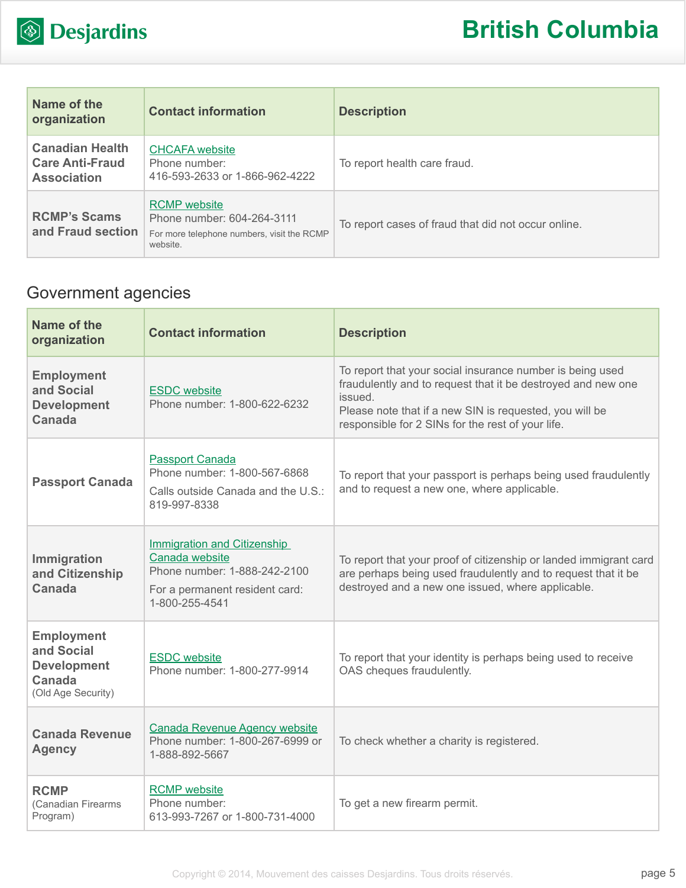

| Name of the<br>organization                                            | <b>Contact information</b>                                                                                  | <b>Description</b>                                  |
|------------------------------------------------------------------------|-------------------------------------------------------------------------------------------------------------|-----------------------------------------------------|
| <b>Canadian Health</b><br><b>Care Anti-Fraud</b><br><b>Association</b> | <b>CHCAFA</b> website<br>Phone number:<br>416-593-2633 or 1-866-962-4222                                    | To report health care fraud.                        |
| <b>RCMP's Scams</b><br>and Fraud section                               | <b>RCMP</b> website<br>Phone number: 604-264-3111<br>For more telephone numbers, visit the RCMP<br>website. | To report cases of fraud that did not occur online. |

## Government agencies

| Name of the<br>organization                                                                  | <b>Contact information</b>                                                                                                               | <b>Description</b>                                                                                                                                                                                                                                   |
|----------------------------------------------------------------------------------------------|------------------------------------------------------------------------------------------------------------------------------------------|------------------------------------------------------------------------------------------------------------------------------------------------------------------------------------------------------------------------------------------------------|
| <b>Employment</b><br>and Social<br><b>Development</b><br>Canada                              | <b>ESDC</b> website<br>Phone number: 1-800-622-6232                                                                                      | To report that your social insurance number is being used<br>fraudulently and to request that it be destroyed and new one<br>issued.<br>Please note that if a new SIN is requested, you will be<br>responsible for 2 SINs for the rest of your life. |
| <b>Passport Canada</b>                                                                       | <b>Passport Canada</b><br>Phone number: 1-800-567-6868<br>Calls outside Canada and the U.S.:<br>819-997-8338                             | To report that your passport is perhaps being used fraudulently<br>and to request a new one, where applicable.                                                                                                                                       |
| Immigration<br>and Citizenship<br><b>Canada</b>                                              | <b>Immigration and Citizenship</b><br>Canada website<br>Phone number: 1-888-242-2100<br>For a permanent resident card:<br>1-800-255-4541 | To report that your proof of citizenship or landed immigrant card<br>are perhaps being used fraudulently and to request that it be<br>destroyed and a new one issued, where applicable.                                                              |
| <b>Employment</b><br>and Social<br><b>Development</b><br><b>Canada</b><br>(Old Age Security) | <b>ESDC</b> website<br>Phone number: 1-800-277-9914                                                                                      | To report that your identity is perhaps being used to receive<br>OAS cheques fraudulently.                                                                                                                                                           |
| <b>Canada Revenue</b><br><b>Agency</b>                                                       | <b>Canada Revenue Agency website</b><br>Phone number: 1-800-267-6999 or<br>1-888-892-5667                                                | To check whether a charity is registered.                                                                                                                                                                                                            |
| <b>RCMP</b><br>(Canadian Firearms<br>Program)                                                | <b>RCMP</b> website<br>Phone number:<br>613-993-7267 or 1-800-731-4000                                                                   | To get a new firearm permit.                                                                                                                                                                                                                         |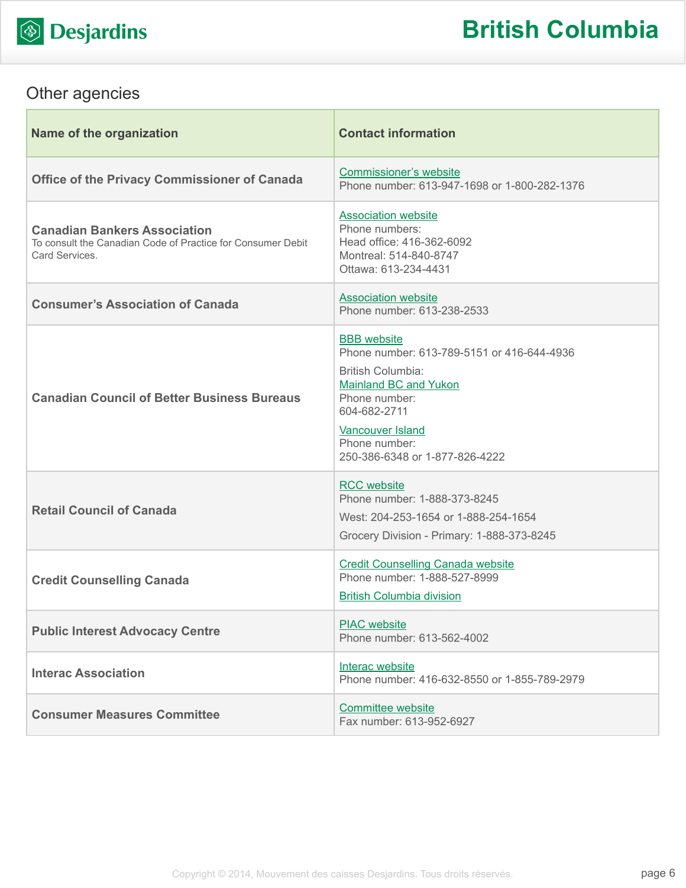

## Other agencies

| Name of the organization                                                                                             | <b>Contact information</b>                                                                                                                                                                                                                  |
|----------------------------------------------------------------------------------------------------------------------|---------------------------------------------------------------------------------------------------------------------------------------------------------------------------------------------------------------------------------------------|
| <b>Office of the Privacy Commissioner of Canada</b>                                                                  | <b>Commissioner's website</b><br>Phone number: 613-947-1698 or 1-800-282-1376                                                                                                                                                               |
| <b>Canadian Bankers Association</b><br>To consult the Canadian Code of Practice for Consumer Debit<br>Card Services. | <b>Association website</b><br>Phone numbers:<br>Head office: 416-362-6092<br>Montreal: 514-840-8747<br>Ottawa: 613-234-4431                                                                                                                 |
| <b>Consumer's Association of Canada</b>                                                                              | <b>Association website</b><br>Phone number: 613-238-2533                                                                                                                                                                                    |
| <b>Canadian Council of Better Business Bureaus</b>                                                                   | <b>BBB</b> website<br>Phone number: 613-789-5151 or 416-644-4936<br><b>British Columbia:</b><br><b>Mainland BC and Yukon</b><br>Phone number:<br>604-682-2711<br><b>Vancouver Island</b><br>Phone number:<br>250-386-6348 or 1-877-826-4222 |
| <b>Retail Council of Canada</b>                                                                                      | <b>RCC</b> website<br>Phone number: 1-888-373-8245<br>West: 204-253-1654 or 1-888-254-1654<br>Grocery Division - Primary: 1-888-373-8245                                                                                                    |
| <b>Credit Counselling Canada</b>                                                                                     | <b>Credit Counselling Canada website</b><br>Phone number: 1-888-527-8999<br><b>British Columbia division</b>                                                                                                                                |
| <b>Public Interest Advocacy Centre</b>                                                                               | <b>PIAC</b> website<br>Phone number: 613-562-4002                                                                                                                                                                                           |
| <b>Interac Association</b>                                                                                           | Interac website<br>Phone number: 416-632-8550 or 1-855-789-2979                                                                                                                                                                             |
| <b>Consumer Measures Committee</b>                                                                                   | Committee website<br>Fax number: 613-952-6927                                                                                                                                                                                               |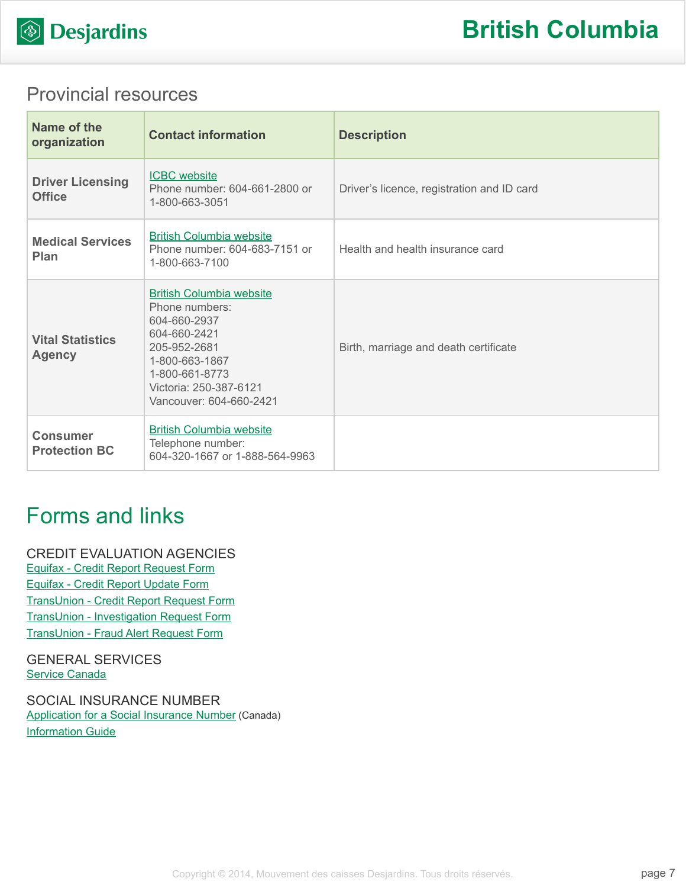

### Provincial resources

| Name of the<br>organization              | <b>Contact information</b>                                                                                                                                                                 | <b>Description</b>                         |
|------------------------------------------|--------------------------------------------------------------------------------------------------------------------------------------------------------------------------------------------|--------------------------------------------|
| <b>Driver Licensing</b><br><b>Office</b> | <b>ICBC</b> website<br>Phone number: 604-661-2800 or<br>1-800-663-3051                                                                                                                     | Driver's licence, registration and ID card |
| <b>Medical Services</b><br>Plan          | <b>British Columbia website</b><br>Phone number: 604-683-7151 or<br>1-800-663-7100                                                                                                         | Health and health insurance card           |
| <b>Vital Statistics</b><br><b>Agency</b> | <b>British Columbia website</b><br>Phone numbers:<br>604-660-2937<br>604-660-2421<br>205-952-2681<br>1-800-663-1867<br>1-800-661-8773<br>Victoria: 250-387-6121<br>Vancouver: 604-660-2421 | Birth, marriage and death certificate      |
| <b>Consumer</b><br><b>Protection BC</b>  | <b>British Columbia website</b><br>Telephone number:<br>604-320-1667 or 1-888-564-9963                                                                                                     |                                            |

## Forms and links

CREDIT EVALUATION AGENCIES [Equifax - Credit Report Request Form](http://www.equifax.com/ecm/canada/EFXCreditReportRequestForm.pdf) [Equifax - Credit Report Update Form](http://www.consumer.equifax.ca/dispute-ca/canada-cr-update-form/en_ca) [TransUnion - Credit Report Request Form](http://www.transunion.ca/docs/personal/Consumer_Disclosure_Request_Form_en.pdf) [TransUnion - Investigation Request Form](http://www.transunion.ca/docs/personal/Credit Investigation Request Form_en.pdf) [TransUnion - Fraud Alert Request Form](http://www.transunion.ca/docs/personal/Ca_Fraud_Alert_Request_Form.pdf)

GENERAL SERVICES [Service Canada](http://www.servicecanada.gc.ca/eng/home.shtml)

SOCIAL INSURANCE NUMBER [Application for a Social Insurance Number](http://www.servicecanada.gc.ca/cgi-bin/search/eforms/index.cgi?app=prfl&frm=nas2120&ln=eng) (Canada) [Information Guide](http://www.servicecanada.gc.ca/eforms/forms/nas-2120-(09-13)e.pdf)